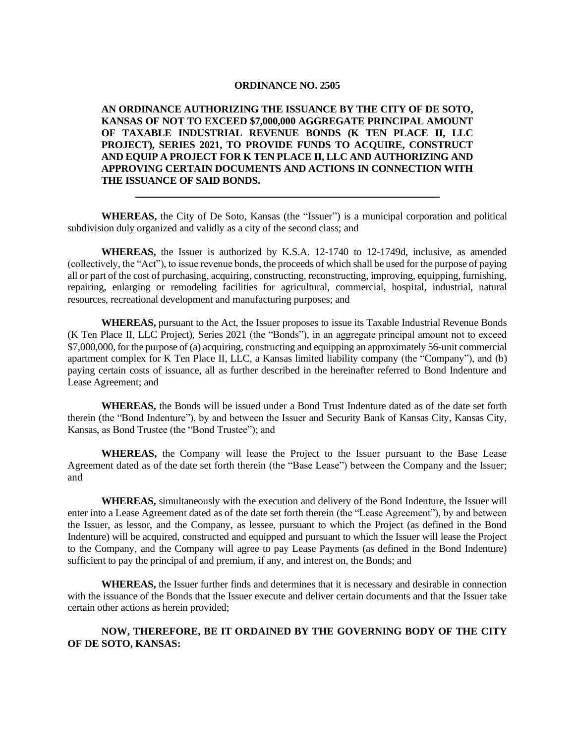## **ORDINANCE NO. 2505**

**AN ORDINANCE AUTHORIZING THE ISSUANCE BY THE CITY OF DE SOTO, KANSAS OF NOT TO EXCEED \$7,000,000 AGGREGATE PRINCIPAL AMOUNT OF TAXABLE INDUSTRIAL REVENUE BONDS (K TEN PLACE II, LLC PROJECT), SERIES 2021, TO PROVIDE FUNDS TO ACQUIRE, CONSTRUCT AND EQUIP A PROJECT FOR K TEN PLACE II, LLC AND AUTHORIZING AND APPROVING CERTAIN DOCUMENTS AND ACTIONS IN CONNECTION WITH THE ISSUANCE OF SAID BONDS.**

**WHEREAS,** the City of De Soto, Kansas (the "Issuer") is a municipal corporation and political subdivision duly organized and validly as a city of the second class; and

**WHEREAS,** the Issuer is authorized by K.S.A. 12-1740 to 12-1749d, inclusive, as amended (collectively, the "Act"), to issue revenue bonds, the proceeds of which shall be used for the purpose of paying all or part of the cost of purchasing, acquiring, constructing, reconstructing, improving, equipping, furnishing, repairing, enlarging or remodeling facilities for agricultural, commercial, hospital, industrial, natural resources, recreational development and manufacturing purposes; and

**WHEREAS,** pursuant to the Act, the Issuer proposes to issue its Taxable Industrial Revenue Bonds (K Ten Place II, LLC Project), Series 2021 (the "Bonds"), in an aggregate principal amount not to exceed \$7,000,000, for the purpose of (a) acquiring, constructing and equipping an approximately 56-unit commercial apartment complex for K Ten Place II, LLC, a Kansas limited liability company (the "Company"), and (b) paying certain costs of issuance, all as further described in the hereinafter referred to Bond Indenture and Lease Agreement; and

**WHEREAS,** the Bonds will be issued under a Bond Trust Indenture dated as of the date set forth therein (the "Bond Indenture"), by and between the Issuer and Security Bank of Kansas City, Kansas City, Kansas, as Bond Trustee (the "Bond Trustee"); and

**WHEREAS,** the Company will lease the Project to the Issuer pursuant to the Base Lease Agreement dated as of the date set forth therein (the "Base Lease") between the Company and the Issuer; and

**WHEREAS,** simultaneously with the execution and delivery of the Bond Indenture, the Issuer will enter into a Lease Agreement dated as of the date set forth therein (the "Lease Agreement"), by and between the Issuer, as lessor, and the Company, as lessee, pursuant to which the Project (as defined in the Bond Indenture) will be acquired, constructed and equipped and pursuant to which the Issuer will lease the Project to the Company, and the Company will agree to pay Lease Payments (as defined in the Bond Indenture) sufficient to pay the principal of and premium, if any, and interest on, the Bonds; and

**WHEREAS,** the Issuer further finds and determines that it is necessary and desirable in connection with the issuance of the Bonds that the Issuer execute and deliver certain documents and that the Issuer take certain other actions as herein provided;

## **NOW, THEREFORE, BE IT ORDAINED BY THE GOVERNING BODY OF THE CITY OF DE SOTO, KANSAS:**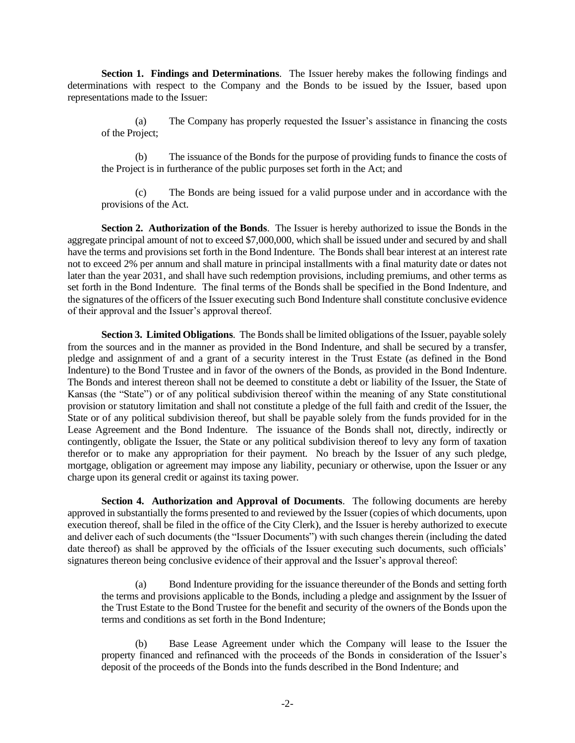**Section 1. Findings and Determinations**. The Issuer hereby makes the following findings and determinations with respect to the Company and the Bonds to be issued by the Issuer, based upon representations made to the Issuer:

(a) The Company has properly requested the Issuer's assistance in financing the costs of the Project;

(b) The issuance of the Bonds for the purpose of providing funds to finance the costs of the Project is in furtherance of the public purposes set forth in the Act; and

(c) The Bonds are being issued for a valid purpose under and in accordance with the provisions of the Act.

**Section 2. Authorization of the Bonds**. The Issuer is hereby authorized to issue the Bonds in the aggregate principal amount of not to exceed \$7,000,000, which shall be issued under and secured by and shall have the terms and provisions set forth in the Bond Indenture. The Bonds shall bear interest at an interest rate not to exceed 2% per annum and shall mature in principal installments with a final maturity date or dates not later than the year 2031, and shall have such redemption provisions, including premiums, and other terms as set forth in the Bond Indenture. The final terms of the Bonds shall be specified in the Bond Indenture, and the signatures of the officers of the Issuer executing such Bond Indenture shall constitute conclusive evidence of their approval and the Issuer's approval thereof.

**Section 3. Limited Obligations**. The Bonds shall be limited obligations of the Issuer, payable solely from the sources and in the manner as provided in the Bond Indenture, and shall be secured by a transfer, pledge and assignment of and a grant of a security interest in the Trust Estate (as defined in the Bond Indenture) to the Bond Trustee and in favor of the owners of the Bonds, as provided in the Bond Indenture. The Bonds and interest thereon shall not be deemed to constitute a debt or liability of the Issuer, the State of Kansas (the "State") or of any political subdivision thereof within the meaning of any State constitutional provision or statutory limitation and shall not constitute a pledge of the full faith and credit of the Issuer, the State or of any political subdivision thereof, but shall be payable solely from the funds provided for in the Lease Agreement and the Bond Indenture. The issuance of the Bonds shall not, directly, indirectly or contingently, obligate the Issuer, the State or any political subdivision thereof to levy any form of taxation therefor or to make any appropriation for their payment. No breach by the Issuer of any such pledge, mortgage, obligation or agreement may impose any liability, pecuniary or otherwise, upon the Issuer or any charge upon its general credit or against its taxing power.

**Section 4. Authorization and Approval of Documents**. The following documents are hereby approved in substantially the forms presented to and reviewed by the Issuer (copies of which documents, upon execution thereof, shall be filed in the office of the City Clerk), and the Issuer is hereby authorized to execute and deliver each of such documents (the "Issuer Documents") with such changes therein (including the dated date thereof) as shall be approved by the officials of the Issuer executing such documents, such officials' signatures thereon being conclusive evidence of their approval and the Issuer's approval thereof:

(a) Bond Indenture providing for the issuance thereunder of the Bonds and setting forth the terms and provisions applicable to the Bonds, including a pledge and assignment by the Issuer of the Trust Estate to the Bond Trustee for the benefit and security of the owners of the Bonds upon the terms and conditions as set forth in the Bond Indenture;

(b) Base Lease Agreement under which the Company will lease to the Issuer the property financed and refinanced with the proceeds of the Bonds in consideration of the Issuer's deposit of the proceeds of the Bonds into the funds described in the Bond Indenture; and